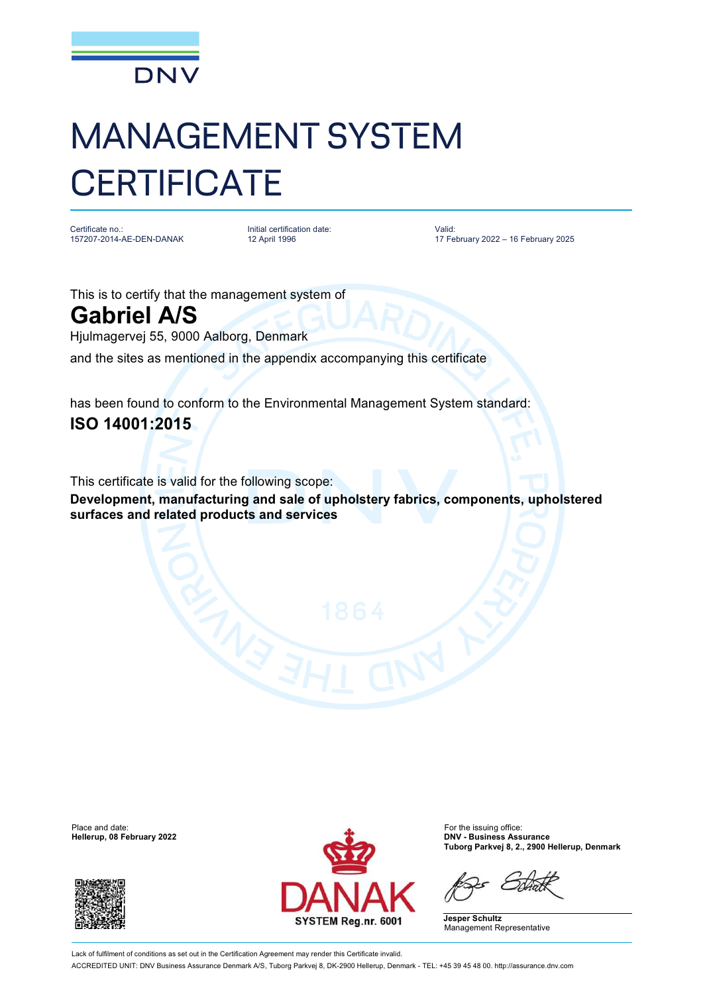

## MANAGEMENT SYSTEM **CERTIFICATE**

Certificate no.: 157207-2014-AE-DEN-DANAK Initial certification date: 12 April 1996

Valid: 17 February 2022 – 16 February 2025

This is to certify that the management system of **Gabriel A/S**

Hjulmagervej 55, 9000 Aalborg, Denmark

and the sites as mentioned in the appendix accompanying this certificate

has been found to conform to the Environmental Management System standard: **ISO 14001:2015**

This certificate is valid for the following scope:

**Development, manufacturing and sale of upholstery fabrics, components, upholstered surfaces and related products and services**

**Hellerup, 08 February 2022** 





**Tuborg Parkvej 8, 2., 2900 Hellerup, Denmark**

**Jesper Schultz** Management Representative

Lack of fulfilment of conditions as set out in the Certification Agreement may render this Certificate invalid. ACCREDITED UNIT: DNV Business Assurance Denmark A/S, Tuborg Parkvej 8, DK-2900 Hellerup, Denmark - TEL: +45 39 45 48 00. <http://assurance.dnv.com>